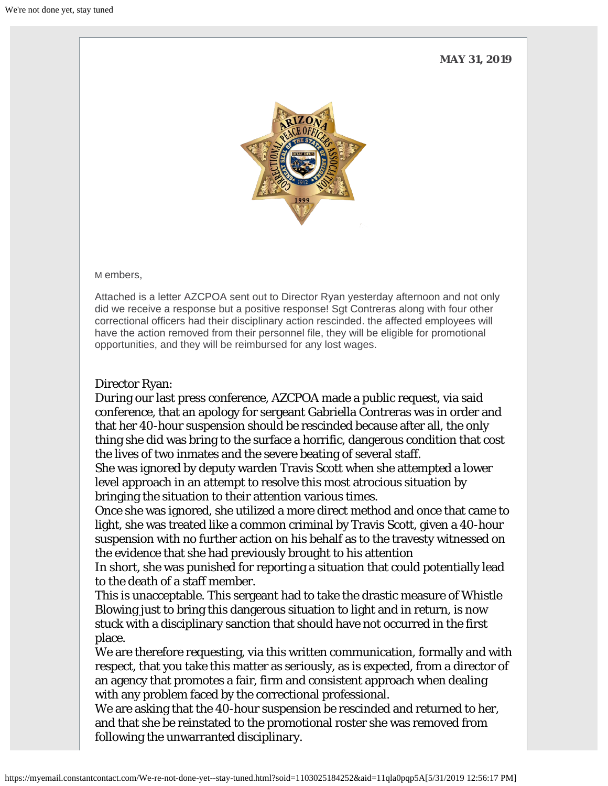**MAY 31, 2019**



M embers,

Attached is a letter AZCPOA sent out to Director Ryan yesterday afternoon and not only did we receive a response but a positive response! Sgt Contreras along with four other correctional officers had their disciplinary action rescinded. the affected employees will have the action removed from their personnel file, they will be eligible for promotional opportunities, and they will be reimbursed for any lost wages.

## Director Ryan:

During our last press conference, AZCPOA made a public request, via said conference, that an apology for sergeant Gabriella Contreras was in order and that her 40-hour suspension should be rescinded because after all, the only thing she did was bring to the surface a horrific, dangerous condition that cost the lives of two inmates and the severe beating of several staff.

She was ignored by deputy warden Travis Scott when she attempted a lower level approach in an attempt to resolve this most atrocious situation by bringing the situation to their attention various times.

Once she was ignored, she utilized a more direct method and once that came to light, she was treated like a common criminal by Travis Scott, given a 40-hour suspension with no further action on his behalf as to the travesty witnessed on the evidence that she had previously brought to his attention

In short, she was punished for reporting a situation that could potentially lead to the death of a staff member.

This is unacceptable. This sergeant had to take the drastic measure of Whistle Blowing just to bring this dangerous situation to light and in return, is now stuck with a disciplinary sanction that should have not occurred in the first place.

We are therefore requesting, via this written communication, formally and with respect, that you take this matter as seriously, as is expected, from a director of an agency that promotes a fair, firm and consistent approach when dealing with any problem faced by the correctional professional.

We are asking that the 40-hour suspension be rescinded and returned to her, and that she be reinstated to the promotional roster she was removed from following the unwarranted disciplinary.